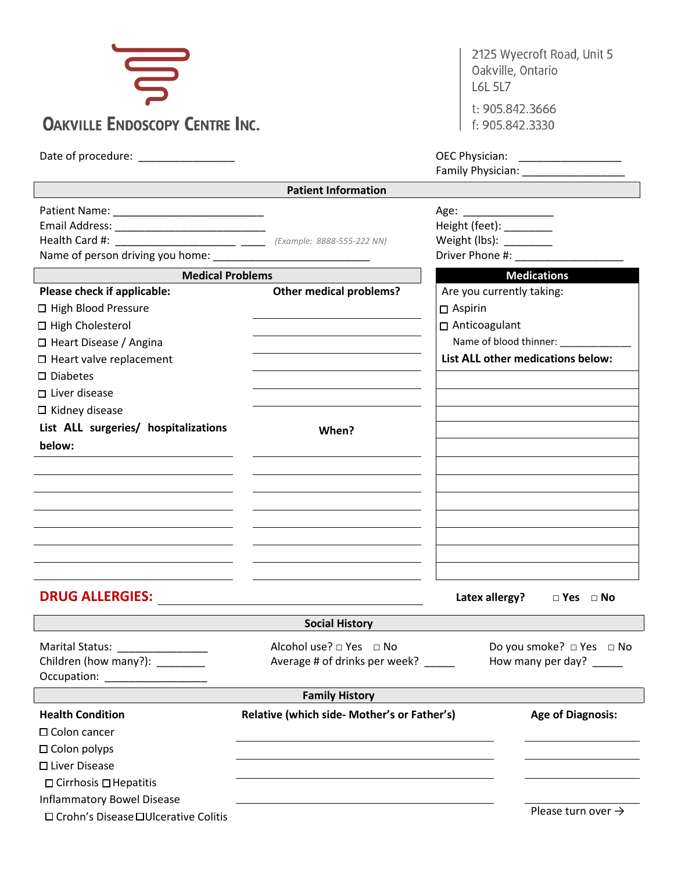| $\mathbf{g}$<br><b>OAKVILLE ENDOSCOPY CENTRE INC.</b>                                                                                                                                                                                                              |                                                                | 2125 Wyecroft Road, Unit 5<br>Oakville, Ontario<br><b>L6L 5L7</b><br>t: 905.842.3666<br>f: 905.842.3330                                              |
|--------------------------------------------------------------------------------------------------------------------------------------------------------------------------------------------------------------------------------------------------------------------|----------------------------------------------------------------|------------------------------------------------------------------------------------------------------------------------------------------------------|
|                                                                                                                                                                                                                                                                    |                                                                |                                                                                                                                                      |
| Date of procedure: ______________                                                                                                                                                                                                                                  |                                                                | OEC Physician: _______________                                                                                                                       |
|                                                                                                                                                                                                                                                                    | <b>Patient Information</b>                                     |                                                                                                                                                      |
| Health Card #: ________________________ ____ (Example: 8888-555-222 NN)<br>Name of person driving you home:                                                                                                                                                        |                                                                | Height (feet): ________<br>Weight (lbs): _______<br>Driver Phone #:                                                                                  |
| <b>Medical Problems</b>                                                                                                                                                                                                                                            |                                                                | <b>Medications</b>                                                                                                                                   |
| Please check if applicable:<br>□ High Blood Pressure<br>□ High Cholesterol<br>$\Box$ Heart Disease / Angina<br>$\square$ Heart valve replacement<br>$\square$ Diabetes<br>$\Box$ Liver disease<br>$\square$ Kidney disease<br>List ALL surgeries/ hospitalizations | <b>Other medical problems?</b><br>When?                        | Are you currently taking:<br>$\Box$ Aspirin<br>□ Anticoagulant<br>Name of blood thinner: Name of blood thinner:<br>List ALL other medications below: |
| below:                                                                                                                                                                                                                                                             |                                                                |                                                                                                                                                      |
| <b>DRUG ALLERGIES:</b>                                                                                                                                                                                                                                             |                                                                | Latex allergy?<br>$\Box$ Yes $\Box$ No                                                                                                               |
|                                                                                                                                                                                                                                                                    | <b>Social History</b>                                          |                                                                                                                                                      |
| Marital Status: ________________<br>Children (how many?): ________<br>Occupation: ____________________                                                                                                                                                             | Alcohol use? □ Yes □ No<br>Average # of drinks per week? _____ | Do you smoke? □ Yes □ No<br>How many per day? ____                                                                                                   |
|                                                                                                                                                                                                                                                                    | <b>Family History</b>                                          |                                                                                                                                                      |
| <b>Health Condition</b><br>$\square$ Colon cancer<br>$\Box$ Colon polyps<br>□ Liver Disease<br>$\Box$ Cirrhosis $\Box$ Hepatitis<br><b>Inflammatory Bowel Disease</b>                                                                                              | Relative (which side- Mother's or Father's)                    | <b>Age of Diagnosis:</b><br>$Dlovec + \text{lim} \text{ over } \Delta$                                                                               |

□ Crohn's Disease □ Ulcerative Colitis

Please turn over  $\rightarrow$